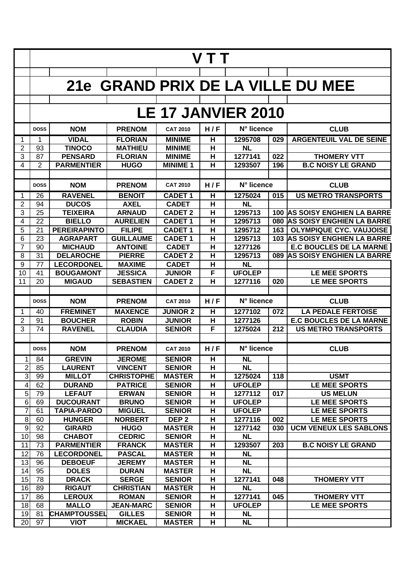|                  | V T T                     |                                        |                                   |                                 |                         |                                |     |                                                                 |  |  |  |
|------------------|---------------------------|----------------------------------------|-----------------------------------|---------------------------------|-------------------------|--------------------------------|-----|-----------------------------------------------------------------|--|--|--|
|                  |                           |                                        |                                   |                                 |                         |                                |     |                                                                 |  |  |  |
|                  |                           |                                        |                                   |                                 |                         |                                |     | 21e GRAND PRIX DE LA VILLE DU MEE                               |  |  |  |
|                  |                           |                                        |                                   |                                 |                         |                                |     |                                                                 |  |  |  |
|                  | <b>LE 17 JANVIER 2010</b> |                                        |                                   |                                 |                         |                                |     |                                                                 |  |  |  |
|                  | <b>DOSS</b>               | <b>NOM</b>                             | <b>PRENOM</b>                     | <b>CAT 2010</b>                 | H/F                     | N° licence                     |     | <b>CLUB</b>                                                     |  |  |  |
| 1                | 1                         | <b>VIDAL</b>                           | <b>FLORIAN</b>                    | <b>MINIME</b>                   | $\overline{\mathbf{H}}$ | 1295708                        | 029 | <b>ARGENTEUIL VAL DE SEINE</b>                                  |  |  |  |
| $\overline{2}$   | 93                        | <b>TINOCO</b>                          | <b>MATHIEU</b>                    | <b>MINIME</b>                   | $\overline{\mathbf{H}}$ | <b>NL</b>                      |     |                                                                 |  |  |  |
| 3                | 87                        | <b>PENSARD</b>                         | <b>FLORIAN</b>                    | <b>MINIME</b>                   | H                       | 1277141                        | 022 | <b>THOMERY VTT</b>                                              |  |  |  |
| 4                | 2                         | <b>PARMENTIER</b>                      | <b>HUGO</b>                       | <b>MINIME 1</b>                 | н                       | 1293507                        | 196 | <b>B.C NOISY LE GRAND</b>                                       |  |  |  |
|                  |                           |                                        |                                   |                                 |                         |                                |     |                                                                 |  |  |  |
|                  | <b>DOSS</b>               | <b>NOM</b>                             | <b>PRENOM</b>                     | <b>CAT 2010</b>                 | H/F                     | N° licence                     |     | <b>CLUB</b>                                                     |  |  |  |
| 1                | 26                        | <b>RAVENEL</b>                         | <b>BENOIT</b>                     | <b>CADET 1</b>                  | н                       | 1275024                        | 015 | <b>US METRO TRANSPORTS</b>                                      |  |  |  |
| $\overline{2}$   | 94                        | <b>DUCOS</b>                           | <b>AXEL</b>                       | <b>CADET</b>                    | н                       | <b>NL</b>                      |     |                                                                 |  |  |  |
| 3                | 25                        | <b>TEIXEIRA</b>                        | <b>ARNAUD</b>                     | <b>CADET 2</b>                  | H                       | 1295713                        |     | <b>100 AS SOISY ENGHIEN LA BARRE</b>                            |  |  |  |
| 4                | 22                        | <b>BIELLO</b>                          | <b>AURELIEN</b>                   | <b>CADET1</b>                   | $\overline{\mathbf{H}}$ | 1295713                        |     | 080 AS SOISY ENGHIEN LA BARRE                                   |  |  |  |
| 5<br>6           | 21<br>23                  | <b>PEREIRAPINTO</b><br><b>AGRAPART</b> | <b>FILIPE</b><br><b>GUILLAUME</b> | <b>CADET1</b><br><b>CADET 1</b> | H<br>н                  | 1295712<br>1295713             | 163 | <b>OLYMPIQUE CYC. VAUJOISE</b><br>103 AS SOISY ENGHIEN LA BARRE |  |  |  |
| $\overline{7}$   | 90                        | <b>MICHAUD</b>                         | <b>ANTOINE</b>                    | <b>CADET</b>                    | $\overline{\mathbf{H}}$ | 1277126                        |     | <b>E.C BOUCLES DE LA MARNE</b>                                  |  |  |  |
| 8                | 31                        | <b>DELAROCHE</b>                       | <b>PIERRE</b>                     | <b>CADET 2</b>                  | $\overline{\mathbf{H}}$ | 1295713                        |     | 089 AS SOISY ENGHIEN LA BARRE                                   |  |  |  |
| 9                | 77                        | <b>LECORDONEL</b>                      | <b>MAXIME</b>                     | <b>CADET</b>                    | H                       | <b>NL</b>                      |     |                                                                 |  |  |  |
| 10               | 41                        | <b>BOUGAMONT</b>                       | <b>JESSICA</b>                    | <b>JUNIOR</b>                   | F                       | <b>UFOLEP</b>                  |     | <b>LE MEE SPORTS</b>                                            |  |  |  |
| 11               | 20                        | <b>MIGAUD</b>                          | <b>SEBASTIEN</b>                  | <b>CADET 2</b>                  | H                       | 1277116                        | 020 | <b>LE MEE SPORTS</b>                                            |  |  |  |
|                  |                           |                                        |                                   |                                 |                         |                                |     |                                                                 |  |  |  |
|                  | <b>DOSS</b>               | <b>NOM</b>                             | <b>PRENOM</b>                     | <b>CAT 2010</b>                 | H/F                     | N° licence                     |     | <b>CLUB</b>                                                     |  |  |  |
| 1                | 40                        | <b>FREMINET</b>                        | <b>MAXENCE</b>                    | <b>JUNIOR 2</b>                 | н                       | 1277102                        | 072 | <b>LA PEDALE FERTOISE</b>                                       |  |  |  |
| 2                | 91                        | <b>BOUCHER</b>                         | <b>ROBIN</b>                      | <b>JUNIOR</b>                   | н                       | 1277126                        |     | <b>E.C BOUCLES DE LA MARNE</b>                                  |  |  |  |
| 3                | 74                        | <b>RAVENEL</b>                         | <b>CLAUDIA</b>                    | <b>SENIOR</b>                   | F                       | 1275024                        | 212 | <b>US METRO TRANSPORTS</b>                                      |  |  |  |
|                  |                           |                                        |                                   |                                 |                         |                                |     |                                                                 |  |  |  |
|                  | <b>DOSS</b>               | <b>NOM</b>                             | <b>PRENOM</b>                     | <b>CAT 2010</b>                 | H/F                     | N° licence                     |     | <b>CLUB</b>                                                     |  |  |  |
| 1                | 84                        | <b>GREVIN</b>                          | <b>JEROME</b>                     | <b>SENIOR</b>                   | н                       | <b>NL</b>                      |     |                                                                 |  |  |  |
| $\overline{2}$   | 85                        | <b>LAURENT</b>                         | <b>VINCENT</b>                    | <b>SENIOR</b>                   | н                       | <b>NL</b>                      |     |                                                                 |  |  |  |
| 3                | 99                        | <b>MILLOT</b>                          | <b>CHRISTOPHE</b>                 | <b>MASTER</b>                   | H                       | 1275024                        | 118 | <b>USMT</b>                                                     |  |  |  |
| 4                | 62                        | <b>DURAND</b>                          | <b>PATRICE</b>                    | <b>SENIOR</b>                   | н                       | <b>UFOLEP</b>                  |     | <b>LE MEE SPORTS</b>                                            |  |  |  |
| 5<br>$\sigma$    | 79<br>69                  | <b>LEFAUT</b>                          | <b>ERWAN</b>                      | <b>SENIOR</b>                   | н                       | 1277112                        | 017 | <b>US MELUN</b>                                                 |  |  |  |
| $\overline{7}$   | 61                        | <b>DUCOURANT</b><br><b>TAPIA-PARDO</b> | <b>BRUNO</b><br><b>MIGUEL</b>     | <b>SENIOR</b><br><b>SENIOR</b>  | н<br>н                  | <b>UFOLEP</b><br><b>UFOLEP</b> |     | LE MEE SPORTS<br>LE MEE SPORTS                                  |  |  |  |
| $\, 8$           | 60                        | <b>HUNGER</b>                          | <b>NORBERT</b>                    | DEP <sub>2</sub>                | н                       | 1277116                        | 002 | LE MEE SPORTS                                                   |  |  |  |
| $\boldsymbol{9}$ | 92                        | <b>GIRARD</b>                          | <b>HUGO</b>                       | <b>MASTER</b>                   | н                       | 1277142                        | 030 | <b>UCM VENEUX LES SABLONS</b>                                   |  |  |  |
| 10               | 98                        | <b>CHABOT</b>                          | <b>CEDRIC</b>                     | <b>SENIOR</b>                   | н                       | <b>NL</b>                      |     |                                                                 |  |  |  |
| 11               | 73                        | <b>PARMENTIER</b>                      | <b>FRANCK</b>                     | <b>MASTER</b>                   | н                       | 1293507                        | 203 | <b>B.C NOISY LE GRAND</b>                                       |  |  |  |
| 12               | 76                        | <b>LECORDONEL</b>                      | <b>PASCAL</b>                     | <b>MASTER</b>                   | H                       | <b>NL</b>                      |     |                                                                 |  |  |  |
| 13               | 96                        | <b>DEBOEUF</b>                         | <b>JEREMY</b>                     | <b>MASTER</b>                   | H                       | <b>NL</b>                      |     |                                                                 |  |  |  |
| 14               | 95                        | <b>DOLES</b>                           | <b>DURAN</b>                      | <b>MASTER</b>                   | H                       | <b>NL</b>                      |     |                                                                 |  |  |  |
| 15               | 78                        | <b>DRACK</b>                           | <b>SERGE</b>                      | <b>SENIOR</b>                   | н                       | 1277141                        | 048 | <b>THOMERY VTT</b>                                              |  |  |  |
| 16               | 89                        | <b>RIGAUT</b>                          | <b>CHRISTIAN</b>                  | <b>MASTER</b>                   | н                       | <b>NL</b>                      |     |                                                                 |  |  |  |
| 17               | 86                        | <b>LEROUX</b>                          | <b>ROMAN</b>                      | <b>SENIOR</b>                   | н                       | 1277141                        | 045 | <b>THOMERY VTT</b>                                              |  |  |  |
| 18               | 68                        | <b>MALLO</b>                           | <b>JEAN-MARC</b>                  | <b>SENIOR</b>                   | н                       | <b>UFOLEP</b>                  |     | LE MEE SPORTS                                                   |  |  |  |
| 19<br>20         | 81<br>97                  | <b>CHAMPTOUSSEL</b><br><b>VIOT</b>     | <b>GILLES</b><br><b>MICKAEL</b>   | <b>SENIOR</b><br><b>MASTER</b>  | н<br>н                  | <b>NL</b><br><b>NL</b>         |     |                                                                 |  |  |  |
|                  |                           |                                        |                                   |                                 |                         |                                |     |                                                                 |  |  |  |